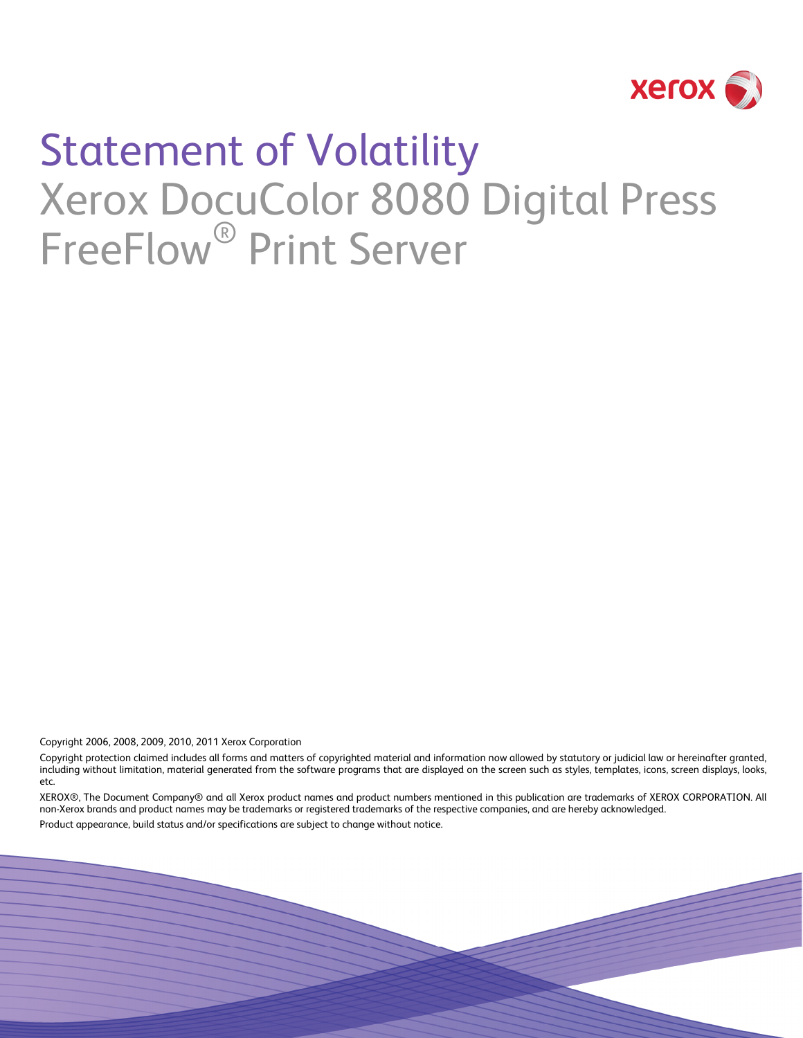

# Statement of Volatility Xerox DocuColor 8080 Digital Press FreeFlow<sup>®</sup> Print Server

Copyright 2006, 2008, 2009, 2010, 2011 Xerox Corporation

Copyright protection claimed includes all forms and matters of copyrighted material and information now allowed by statutory or judicial law or hereinafter granted, including without limitation, material generated from the software programs that are displayed on the screen such as styles, templates, icons, screen displays, looks, etc.

XEROX®, The Document Company® and all Xerox product names and product numbers mentioned in this publication are trademarks of XEROX CORPORATION. All non-Xerox brands and product names may be trademarks or registered trademarks of the respective companies, and are hereby acknowledged.

Product appearance, build status and/or specifications are subject to change without notice.

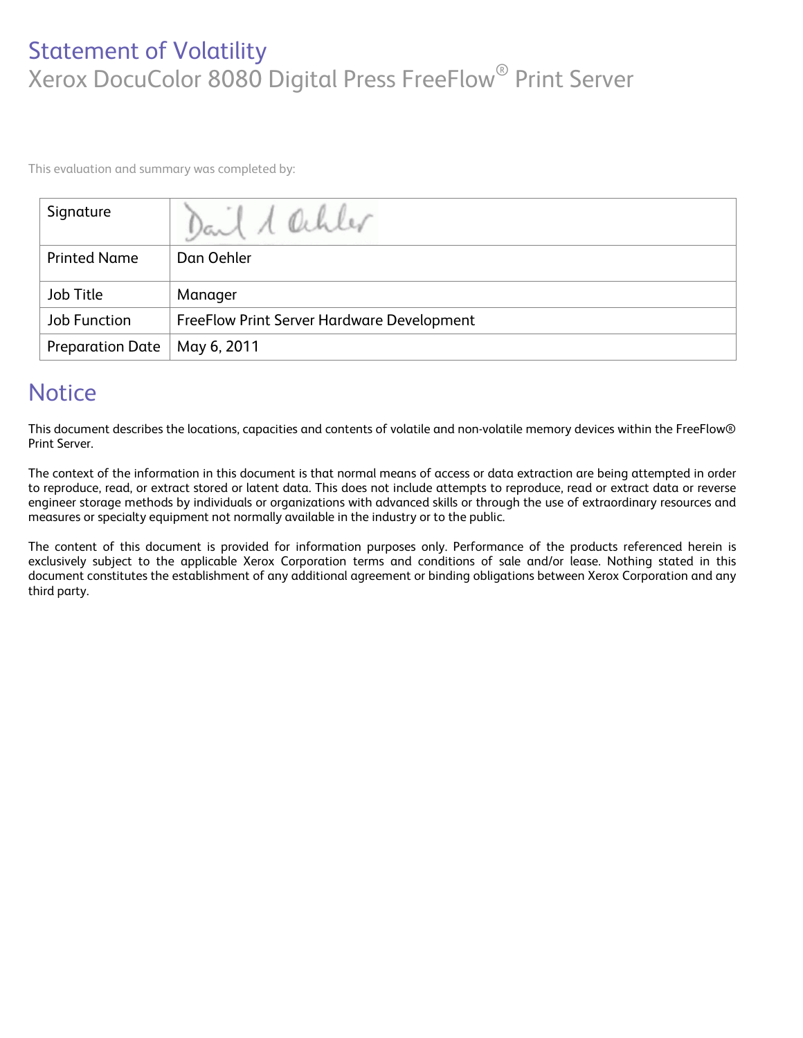# Statement of Volatility Xerox DocuColor 8080 Digital Press FreeFlow® Print Server

This evaluation and summary was completed by:

| Signature               | Dail 1 Ochler                                     |
|-------------------------|---------------------------------------------------|
| <b>Printed Name</b>     | Dan Oehler                                        |
| Job Title               | Manager                                           |
| Job Function            | <b>FreeFlow Print Server Hardware Development</b> |
| <b>Preparation Date</b> | May 6, 2011                                       |

# **Notice**

This document describes the locations, capacities and contents of volatile and non-volatile memory devices within the FreeFlow® Print Server.

The context of the information in this document is that normal means of access or data extraction are being attempted in order to reproduce, read, or extract stored or latent data. This does not include attempts to reproduce, read or extract data or reverse engineer storage methods by individuals or organizations with advanced skills or through the use of extraordinary resources and measures or specialty equipment not normally available in the industry or to the public.

The content of this document is provided for information purposes only. Performance of the products referenced herein is exclusively subject to the applicable Xerox Corporation terms and conditions of sale and/or lease. Nothing stated in this document constitutes the establishment of any additional agreement or binding obligations between Xerox Corporation and any third party.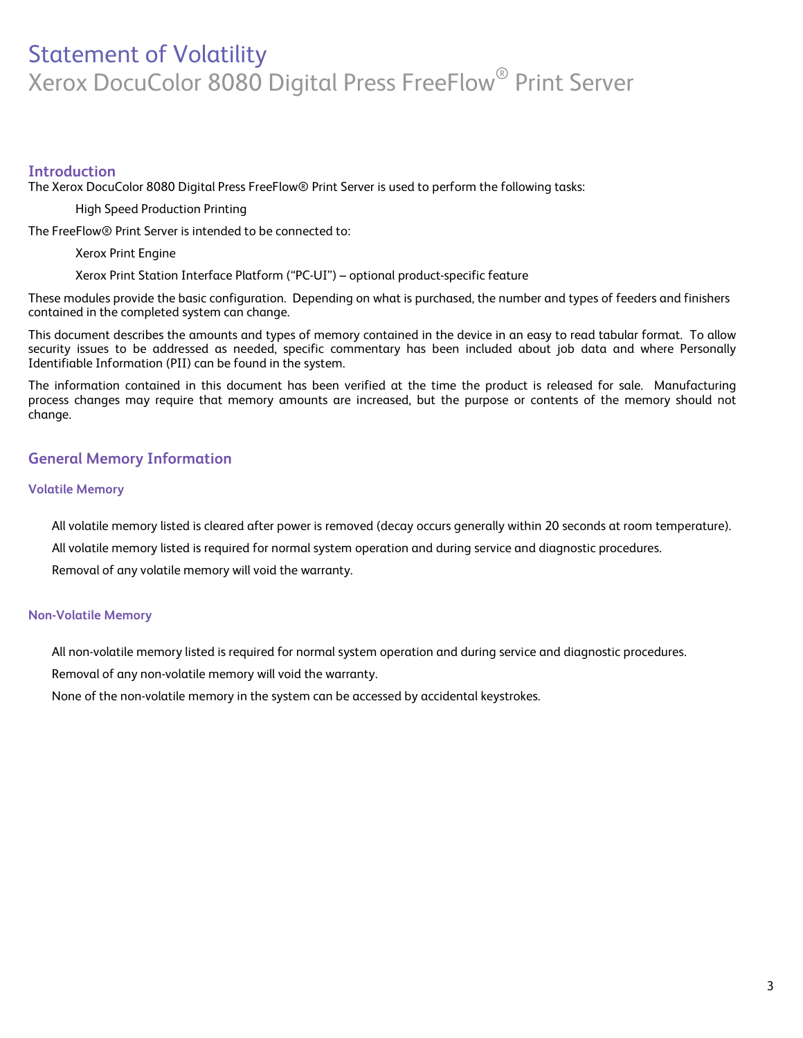# Statement of Volatility Xerox DocuColor 8080 Digital Press FreeFlow® Print Server

#### **Introduction**

The Xerox DocuColor 8080 Digital Press FreeFlow® Print Server is used to perform the following tasks:

High Speed Production Printing

The FreeFlow® Print Server is intended to be connected to:

Xerox Print Engine

Xerox Print Station Interface Platform ("PC-UI") – optional product-specific feature

These modules provide the basic configuration. Depending on what is purchased, the number and types of feeders and finishers contained in the completed system can change.

This document describes the amounts and types of memory contained in the device in an easy to read tabular format. To allow security issues to be addressed as needed, specific commentary has been included about job data and where Personally Identifiable Information (PII) can be found in the system.

The information contained in this document has been verified at the time the product is released for sale. Manufacturing process changes may require that memory amounts are increased, but the purpose or contents of the memory should not change.

## **General Memory Information**

#### **Volatile Memory**

All volatile memory listed is cleared after power is removed (decay occurs generally within 20 seconds at room temperature). All volatile memory listed is required for normal system operation and during service and diagnostic procedures. Removal of any volatile memory will void the warranty.

#### **Non-Volatile Memory**

All non-volatile memory listed is required for normal system operation and during service and diagnostic procedures.

Removal of any non-volatile memory will void the warranty.

None of the non-volatile memory in the system can be accessed by accidental keystrokes.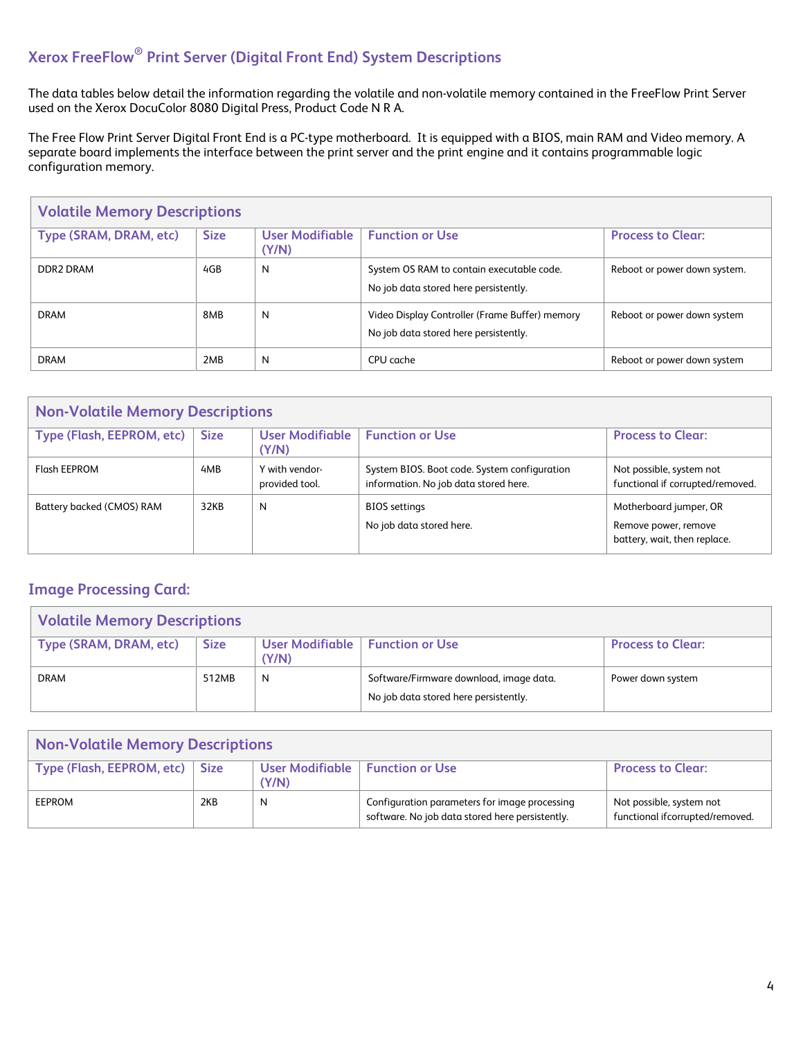# **Xerox FreeFlow® Print Server (Digital Front End) System Descriptions**

The data tables below detail the information regarding the volatile and non-volatile memory contained in the FreeFlow Print Server used on the Xerox DocuColor 8080 Digital Press, Product Code N R A.

The Free Flow Print Server Digital Front End is a PC-type motherboard. It is equipped with a BIOS, main RAM and Video memory. A separate board implements the interface between the print server and the print engine and it contains programmable logic configuration memory.

| <b>Volatile Memory Descriptions</b> |             |                                 |                                                                                         |                              |
|-------------------------------------|-------------|---------------------------------|-----------------------------------------------------------------------------------------|------------------------------|
| Type (SRAM, DRAM, etc)              | <b>Size</b> | <b>User Modifiable</b><br>(Y/N) | <b>Function or Use</b>                                                                  | <b>Process to Clear:</b>     |
| DDR2 DRAM                           | 4GB         | $\mathsf{N}$                    | System OS RAM to contain executable code.<br>No job data stored here persistently.      | Reboot or power down system. |
| <b>DRAM</b>                         | 8MB         | N                               | Video Display Controller (Frame Buffer) memory<br>No job data stored here persistently. | Reboot or power down system  |
| <b>DRAM</b>                         | 2MB         | N                               | CPU cache                                                                               | Reboot or power down system  |

| <b>Non-Volatile Memory Descriptions</b> |             |                                  |                                                                                       |                                                                                |
|-----------------------------------------|-------------|----------------------------------|---------------------------------------------------------------------------------------|--------------------------------------------------------------------------------|
| Type (Flash, EEPROM, etc)               | <b>Size</b> | <b>User Modifiable</b><br>(Y/N)  | <b>Function or Use</b>                                                                | <b>Process to Clear:</b>                                                       |
| Flash EEPROM                            | 4MB         | Y with vendor-<br>provided tool. | System BIOS. Boot code. System configuration<br>information. No job data stored here. | Not possible, system not<br>functional if corrupted/removed.                   |
| Battery backed (CMOS) RAM               | 32KB        | $\mathsf{N}$                     | <b>BIOS</b> settings<br>No job data stored here.                                      | Motherboard jumper, OR<br>Remove power, remove<br>battery, wait, then replace. |

## **Image Processing Card:**

| <b>Volatile Memory Descriptions</b> |             |       |                                                                                  |                          |
|-------------------------------------|-------------|-------|----------------------------------------------------------------------------------|--------------------------|
| Type (SRAM, DRAM, etc)              | <b>Size</b> | (Y/N) | User Modifiable   Function or Use                                                | <b>Process to Clear:</b> |
| <b>DRAM</b>                         | 512MB       | N     | Software/Firmware download, image data.<br>No job data stored here persistently. | Power down system        |

| <b>Non-Volatile Memory Descriptions</b> |     |                                            |                                                                                                  |                                                             |
|-----------------------------------------|-----|--------------------------------------------|--------------------------------------------------------------------------------------------------|-------------------------------------------------------------|
| Type (Flash, EEPROM, etc)   Size        |     | User Modifiable   Function or Use<br>(Y/N) |                                                                                                  | <b>Process to Clear:</b>                                    |
| EEPROM                                  | 2KB | N                                          | Configuration parameters for image processing<br>software. No job data stored here persistently. | Not possible, system not<br>functional ifcorrupted/removed. |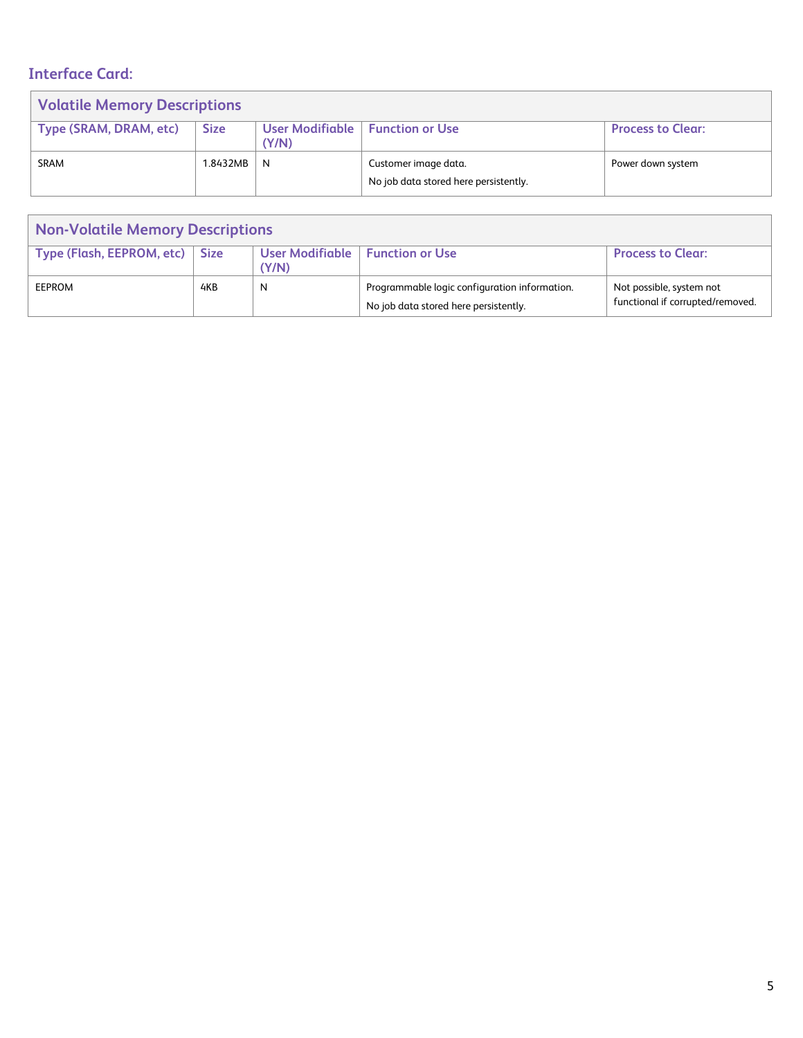# **Interface Card:**

| <b>Volatile Memory Descriptions</b> |             |                          |                                                               |                          |
|-------------------------------------|-------------|--------------------------|---------------------------------------------------------------|--------------------------|
| Type (SRAM, DRAM, etc)              | <b>Size</b> | User Modifiable<br>(Y/N) | <b>Function or Use</b>                                        | <b>Process to Clear:</b> |
| <b>SRAM</b>                         | 1.8432MB    | N                        | Customer image data.<br>No job data stored here persistently. | Power down system        |

| <b>Non-Volatile Memory Descriptions</b> |              |                                 |                                                                                        |                                                              |
|-----------------------------------------|--------------|---------------------------------|----------------------------------------------------------------------------------------|--------------------------------------------------------------|
| Type (Flash, EEPROM, etc)               | $\vert$ Size | <b>User Modifiable</b><br>(Y/N) | <b>Function or Use</b>                                                                 | <b>Process to Clear:</b>                                     |
| <b>EEPROM</b>                           | 4KB          | N                               | Programmable logic configuration information.<br>No job data stored here persistently. | Not possible, system not<br>functional if corrupted/removed. |